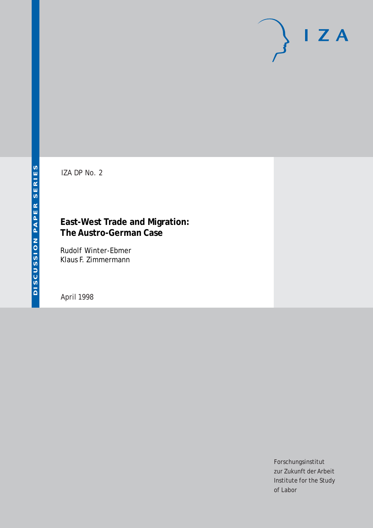# $I Z A$

IZA DP No. 2

# **East-West Trade and Migration: The Austro-German Case**

Rudolf Winter-Ebmer Klaus F. Zimmermann

April 1998

Forschungsinstitut zur Zukunft der Arbeit Institute for the Study of Labor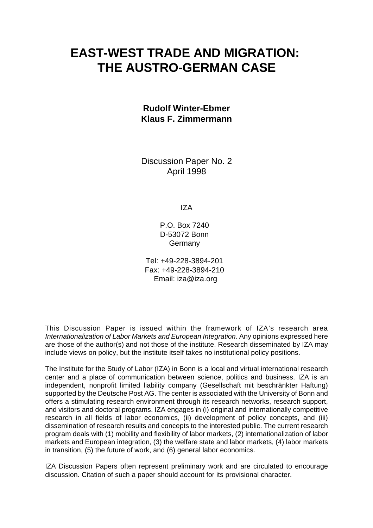# **EAST-WEST TRADE AND MIGRATION: THE AUSTRO-GERMAN CASE**

## **Rudolf Winter-Ebmer Klaus F. Zimmermann**

Discussion Paper No. 2 April 1998

IZA

P.O. Box 7240 D-53072 Bonn **Germany** 

Tel: +49-228-3894-201 Fax: +49-228-3894-210 Email: iza@iza.org

This Discussion Paper is issued within the framework of IZA's research area *Internationalization of Labor Markets and European Integration*. Any opinions expressed here are those of the author(s) and not those of the institute. Research disseminated by IZA may include views on policy, but the institute itself takes no institutional policy positions.

The Institute for the Study of Labor (IZA) in Bonn is a local and virtual international research center and a place of communication between science, politics and business. IZA is an independent, nonprofit limited liability company (Gesellschaft mit beschränkter Haftung) supported by the Deutsche Post AG. The center is associated with the University of Bonn and offers a stimulating research environment through its research networks, research support, and visitors and doctoral programs. IZA engages in (i) original and internationally competitive research in all fields of labor economics, (ii) development of policy concepts, and (iii) dissemination of research results and concepts to the interested public. The current research program deals with (1) mobility and flexibility of labor markets, (2) internationalization of labor markets and European integration, (3) the welfare state and labor markets, (4) labor markets in transition, (5) the future of work, and (6) general labor economics.

IZA Discussion Papers often represent preliminary work and are circulated to encourage discussion. Citation of such a paper should account for its provisional character.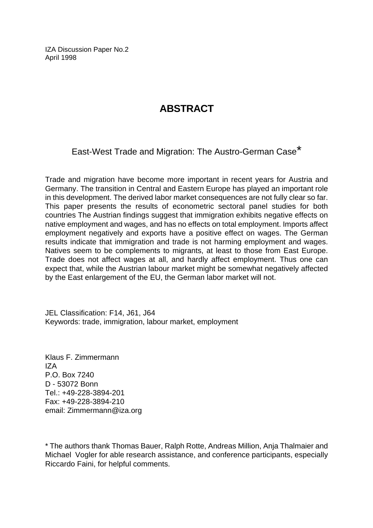IZA Discussion Paper No.2 April 1998

# **ABSTRACT**

East-West Trade and Migration: The Austro-German Case\*

Trade and migration have become more important in recent years for Austria and Germany. The transition in Central and Eastern Europe has played an important role in this development. The derived labor market consequences are not fully clear so far. This paper presents the results of econometric sectoral panel studies for both countries The Austrian findings suggest that immigration exhibits negative effects on native employment and wages, and has no effects on total employment. Imports affect employment negatively and exports have a positive effect on wages. The German results indicate that immigration and trade is not harming employment and wages. Natives seem to be complements to migrants, at least to those from East Europe. Trade does not affect wages at all, and hardly affect employment. Thus one can expect that, while the Austrian labour market might be somewhat negatively affected by the East enlargement of the EU, the German labor market will not.

JEL Classification: F14, J61, J64 Keywords: trade, immigration, labour market, employment

Klaus F. Zimmermann IZA P.O. Box 7240 D - 53072 Bonn Tel.: +49-228-3894-201 Fax: +49-228-3894-210 email: Zimmermann@iza.org

\* The authors thank Thomas Bauer, Ralph Rotte, Andreas Million, Anja Thalmaier and Michael Vogler for able research assistance, and conference participants, especially Riccardo Faini, for helpful comments.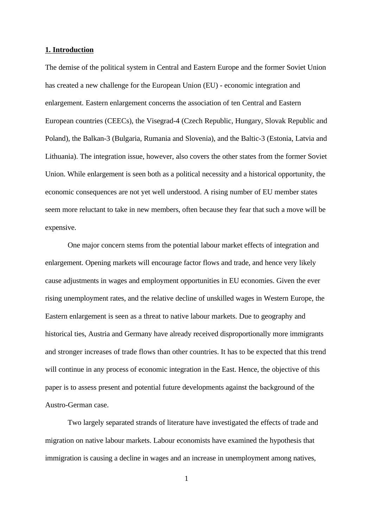#### **1. Introduction**

The demise of the political system in Central and Eastern Europe and the former Soviet Union has created a new challenge for the European Union (EU) - economic integration and enlargement. Eastern enlargement concerns the association of ten Central and Eastern European countries (CEECs), the Visegrad-4 (Czech Republic, Hungary, Slovak Republic and Poland), the Balkan-3 (Bulgaria, Rumania and Slovenia), and the Baltic-3 (Estonia, Latvia and Lithuania). The integration issue, however, also covers the other states from the former Soviet Union. While enlargement is seen both as a political necessity and a historical opportunity, the economic consequences are not yet well understood. A rising number of EU member states seem more reluctant to take in new members, often because they fear that such a move will be expensive.

One major concern stems from the potential labour market effects of integration and enlargement. Opening markets will encourage factor flows and trade, and hence very likely cause adjustments in wages and employment opportunities in EU economies. Given the ever rising unemployment rates, and the relative decline of unskilled wages in Western Europe, the Eastern enlargement is seen as a threat to native labour markets. Due to geography and historical ties, Austria and Germany have already received disproportionally more immigrants and stronger increases of trade flows than other countries. It has to be expected that this trend will continue in any process of economic integration in the East. Hence, the objective of this paper is to assess present and potential future developments against the background of the Austro-German case.

Two largely separated strands of literature have investigated the effects of trade and migration on native labour markets. Labour economists have examined the hypothesis that immigration is causing a decline in wages and an increase in unemployment among natives,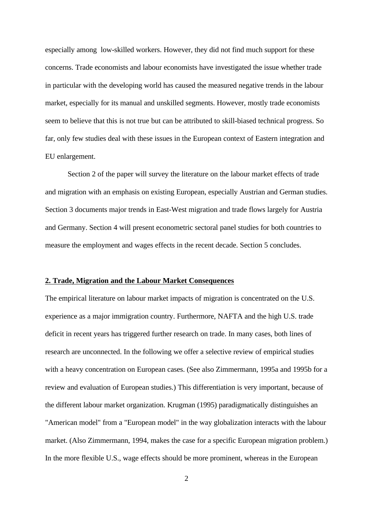especially among low-skilled workers. However, they did not find much support for these concerns. Trade economists and labour economists have investigated the issue whether trade in particular with the developing world has caused the measured negative trends in the labour market, especially for its manual and unskilled segments. However, mostly trade economists seem to believe that this is not true but can be attributed to skill-biased technical progress. So far, only few studies deal with these issues in the European context of Eastern integration and EU enlargement.

Section 2 of the paper will survey the literature on the labour market effects of trade and migration with an emphasis on existing European, especially Austrian and German studies. Section 3 documents major trends in East-West migration and trade flows largely for Austria and Germany. Section 4 will present econometric sectoral panel studies for both countries to measure the employment and wages effects in the recent decade. Section 5 concludes.

#### **2. Trade, Migration and the Labour Market Consequences**

The empirical literature on labour market impacts of migration is concentrated on the U.S. experience as a major immigration country. Furthermore, NAFTA and the high U.S. trade deficit in recent years has triggered further research on trade. In many cases, both lines of research are unconnected. In the following we offer a selective review of empirical studies with a heavy concentration on European cases. (See also Zimmermann, 1995a and 1995b for a review and evaluation of European studies.) This differentiation is very important, because of the different labour market organization. Krugman (1995) paradigmatically distinguishes an "American model" from a "European model" in the way globalization interacts with the labour market. (Also Zimmermann, 1994, makes the case for a specific European migration problem.) In the more flexible U.S., wage effects should be more prominent, whereas in the European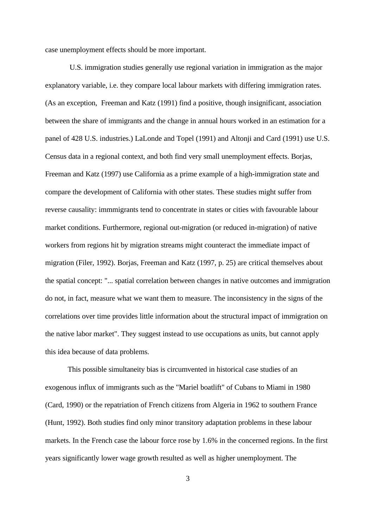case unemployment effects should be more important.

 U.S. immigration studies generally use regional variation in immigration as the major explanatory variable, i.e. they compare local labour markets with differing immigration rates. (As an exception, Freeman and Katz (1991) find a positive, though insignificant, association between the share of immigrants and the change in annual hours worked in an estimation for a panel of 428 U.S. industries.) LaLonde and Topel (1991) and Altonji and Card (1991) use U.S. Census data in a regional context, and both find very small unemployment effects. Borjas, Freeman and Katz (1997) use California as a prime example of a high-immigration state and compare the development of California with other states. These studies might suffer from reverse causality: immmigrants tend to concentrate in states or cities with favourable labour market conditions. Furthermore, regional out-migration (or reduced in-migration) of native workers from regions hit by migration streams might counteract the immediate impact of migration (Filer, 1992). Borjas, Freeman and Katz (1997, p. 25) are critical themselves about the spatial concept: "... spatial correlation between changes in native outcomes and immigration do not, in fact, measure what we want them to measure. The inconsistency in the signs of the correlations over time provides little information about the structural impact of immigration on the native labor market". They suggest instead to use occupations as units, but cannot apply this idea because of data problems.

This possible simultaneity bias is circumvented in historical case studies of an exogenous influx of immigrants such as the "Mariel boatlift" of Cubans to Miami in 1980 (Card, 1990) or the repatriation of French citizens from Algeria in 1962 to southern France (Hunt, 1992). Both studies find only minor transitory adaptation problems in these labour markets. In the French case the labour force rose by 1.6% in the concerned regions. In the first years significantly lower wage growth resulted as well as higher unemployment. The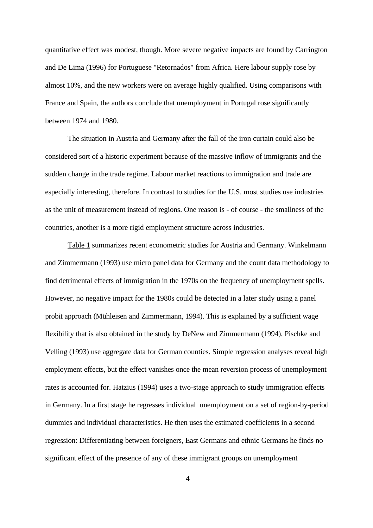quantitative effect was modest, though. More severe negative impacts are found by Carrington and De Lima (1996) for Portuguese "Retornados" from Africa. Here labour supply rose by almost 10%, and the new workers were on average highly qualified. Using comparisons with France and Spain, the authors conclude that unemployment in Portugal rose significantly between 1974 and 1980.

The situation in Austria and Germany after the fall of the iron curtain could also be considered sort of a historic experiment because of the massive inflow of immigrants and the sudden change in the trade regime. Labour market reactions to immigration and trade are especially interesting, therefore. In contrast to studies for the U.S. most studies use industries as the unit of measurement instead of regions. One reason is - of course - the smallness of the countries, another is a more rigid employment structure across industries.

Table 1 summarizes recent econometric studies for Austria and Germany. Winkelmann and Zimmermann (1993) use micro panel data for Germany and the count data methodology to find detrimental effects of immigration in the 1970s on the frequency of unemployment spells. However, no negative impact for the 1980s could be detected in a later study using a panel probit approach (Mühleisen and Zimmermann, 1994). This is explained by a sufficient wage flexibility that is also obtained in the study by DeNew and Zimmermann (1994). Pischke and Velling (1993) use aggregate data for German counties. Simple regression analyses reveal high employment effects, but the effect vanishes once the mean reversion process of unemployment rates is accounted for. Hatzius (1994) uses a two-stage approach to study immigration effects in Germany. In a first stage he regresses individual unemployment on a set of region-by-period dummies and individual characteristics. He then uses the estimated coefficients in a second regression: Differentiating between foreigners, East Germans and ethnic Germans he finds no significant effect of the presence of any of these immigrant groups on unemployment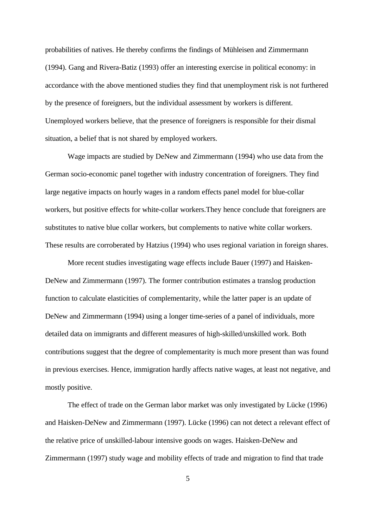probabilities of natives. He thereby confirms the findings of Mühleisen and Zimmermann (1994). Gang and Rivera-Batiz (1993) offer an interesting exercise in political economy: in accordance with the above mentioned studies they find that unemployment risk is not furthered by the presence of foreigners, but the individual assessment by workers is different. Unemployed workers believe, that the presence of foreigners is responsible for their dismal situation, a belief that is not shared by employed workers.

Wage impacts are studied by DeNew and Zimmermann (1994) who use data from the German socio-economic panel together with industry concentration of foreigners. They find large negative impacts on hourly wages in a random effects panel model for blue-collar workers, but positive effects for white-collar workers.They hence conclude that foreigners are substitutes to native blue collar workers, but complements to native white collar workers. These results are corroberated by Hatzius (1994) who uses regional variation in foreign shares.

More recent studies investigating wage effects include Bauer (1997) and Haisken-DeNew and Zimmermann (1997). The former contribution estimates a translog production function to calculate elasticities of complementarity, while the latter paper is an update of DeNew and Zimmermann (1994) using a longer time-series of a panel of individuals, more detailed data on immigrants and different measures of high-skilled/unskilled work. Both contributions suggest that the degree of complementarity is much more present than was found in previous exercises. Hence, immigration hardly affects native wages, at least not negative, and mostly positive.

The effect of trade on the German labor market was only investigated by Lücke (1996) and Haisken-DeNew and Zimmermann (1997). Lücke (1996) can not detect a relevant effect of the relative price of unskilled-labour intensive goods on wages. Haisken-DeNew and Zimmermann (1997) study wage and mobility effects of trade and migration to find that trade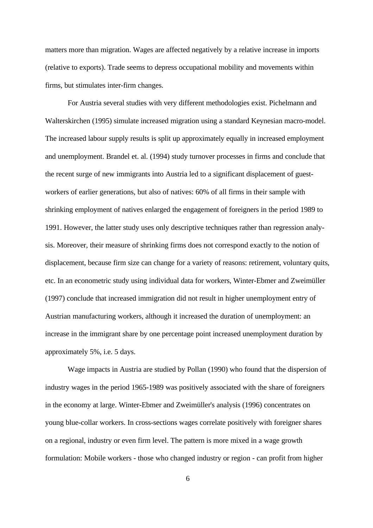matters more than migration. Wages are affected negatively by a relative increase in imports (relative to exports). Trade seems to depress occupational mobility and movements within firms, but stimulates inter-firm changes.

For Austria several studies with very different methodologies exist. Pichelmann and Walterskirchen (1995) simulate increased migration using a standard Keynesian macro-model. The increased labour supply results is split up approximately equally in increased employment and unemployment. Brandel et. al. (1994) study turnover processes in firms and conclude that the recent surge of new immigrants into Austria led to a significant displacement of guestworkers of earlier generations, but also of natives: 60% of all firms in their sample with shrinking employment of natives enlarged the engagement of foreigners in the period 1989 to 1991. However, the latter study uses only descriptive techniques rather than regression analysis. Moreover, their measure of shrinking firms does not correspond exactly to the notion of displacement, because firm size can change for a variety of reasons: retirement, voluntary quits, etc. In an econometric study using individual data for workers, Winter-Ebmer and Zweimüller (1997) conclude that increased immigration did not result in higher unemployment entry of Austrian manufacturing workers, although it increased the duration of unemployment: an increase in the immigrant share by one percentage point increased unemployment duration by approximately 5%, i.e. 5 days.

Wage impacts in Austria are studied by Pollan (1990) who found that the dispersion of industry wages in the period 1965-1989 was positively associated with the share of foreigners in the economy at large. Winter-Ebmer and Zweimüller's analysis (1996) concentrates on young blue-collar workers. In cross-sections wages correlate positively with foreigner shares on a regional, industry or even firm level. The pattern is more mixed in a wage growth formulation: Mobile workers - those who changed industry or region - can profit from higher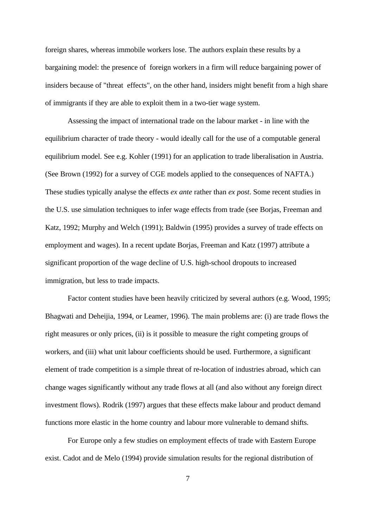foreign shares, whereas immobile workers lose. The authors explain these results by a bargaining model: the presence of foreign workers in a firm will reduce bargaining power of insiders because of "threat effects", on the other hand, insiders might benefit from a high share of immigrants if they are able to exploit them in a two-tier wage system.

Assessing the impact of international trade on the labour market - in line with the equilibrium character of trade theory - would ideally call for the use of a computable general equilibrium model. See e.g. Kohler (1991) for an application to trade liberalisation in Austria. (See Brown (1992) for a survey of CGE models applied to the consequences of NAFTA.) These studies typically analyse the effects *ex ante* rather than *ex post*. Some recent studies in the U.S. use simulation techniques to infer wage effects from trade (see Borjas, Freeman and Katz, 1992; Murphy and Welch (1991); Baldwin (1995) provides a survey of trade effects on employment and wages). In a recent update Borjas, Freeman and Katz (1997) attribute a significant proportion of the wage decline of U.S. high-school dropouts to increased immigration, but less to trade impacts.

Factor content studies have been heavily criticized by several authors (e.g. Wood, 1995; Bhagwati and Deheijia, 1994, or Leamer, 1996). The main problems are: (i) are trade flows the right measures or only prices, (ii) is it possible to measure the right competing groups of workers, and (iii) what unit labour coefficients should be used. Furthermore, a significant element of trade competition is a simple threat of re-location of industries abroad, which can change wages significantly without any trade flows at all (and also without any foreign direct investment flows). Rodrik (1997) argues that these effects make labour and product demand functions more elastic in the home country and labour more vulnerable to demand shifts.

For Europe only a few studies on employment effects of trade with Eastern Europe exist. Cadot and de Melo (1994) provide simulation results for the regional distribution of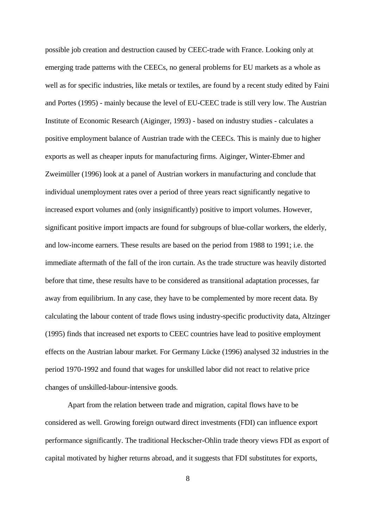possible job creation and destruction caused by CEEC-trade with France. Looking only at emerging trade patterns with the CEECs, no general problems for EU markets as a whole as well as for specific industries, like metals or textiles, are found by a recent study edited by Faini and Portes (1995) - mainly because the level of EU-CEEC trade is still very low. The Austrian Institute of Economic Research (Aiginger, 1993) - based on industry studies - calculates a positive employment balance of Austrian trade with the CEECs. This is mainly due to higher exports as well as cheaper inputs for manufacturing firms. Aiginger, Winter-Ebmer and Zweimüller (1996) look at a panel of Austrian workers in manufacturing and conclude that individual unemployment rates over a period of three years react significantly negative to increased export volumes and (only insignificantly) positive to import volumes. However, significant positive import impacts are found for subgroups of blue-collar workers, the elderly, and low-income earners. These results are based on the period from 1988 to 1991; i.e. the immediate aftermath of the fall of the iron curtain. As the trade structure was heavily distorted before that time, these results have to be considered as transitional adaptation processes, far away from equilibrium. In any case, they have to be complemented by more recent data. By calculating the labour content of trade flows using industry-specific productivity data, Altzinger (1995) finds that increased net exports to CEEC countries have lead to positive employment effects on the Austrian labour market. For Germany Lücke (1996) analysed 32 industries in the period 1970-1992 and found that wages for unskilled labor did not react to relative price changes of unskilled-labour-intensive goods.

Apart from the relation between trade and migration, capital flows have to be considered as well. Growing foreign outward direct investments (FDI) can influence export performance significantly. The traditional Heckscher-Ohlin trade theory views FDI as export of capital motivated by higher returns abroad, and it suggests that FDI substitutes for exports,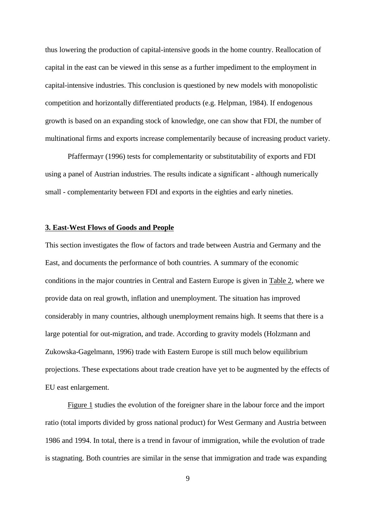thus lowering the production of capital-intensive goods in the home country. Reallocation of capital in the east can be viewed in this sense as a further impediment to the employment in capital-intensive industries. This conclusion is questioned by new models with monopolistic competition and horizontally differentiated products (e.g. Helpman, 1984). If endogenous growth is based on an expanding stock of knowledge, one can show that FDI, the number of multinational firms and exports increase complementarily because of increasing product variety.

Pfaffermayr (1996) tests for complementarity or substitutability of exports and FDI using a panel of Austrian industries. The results indicate a significant - although numerically small - complementarity between FDI and exports in the eighties and early nineties.

#### **3. East-West Flows of Goods and People**

This section investigates the flow of factors and trade between Austria and Germany and the East, and documents the performance of both countries. A summary of the economic conditions in the major countries in Central and Eastern Europe is given in Table 2, where we provide data on real growth, inflation and unemployment. The situation has improved considerably in many countries, although unemployment remains high. It seems that there is a large potential for out-migration, and trade. According to gravity models (Holzmann and Zukowska-Gagelmann, 1996) trade with Eastern Europe is still much below equilibrium projections. These expectations about trade creation have yet to be augmented by the effects of EU east enlargement.

Figure 1 studies the evolution of the foreigner share in the labour force and the import ratio (total imports divided by gross national product) for West Germany and Austria between 1986 and 1994. In total, there is a trend in favour of immigration, while the evolution of trade is stagnating. Both countries are similar in the sense that immigration and trade was expanding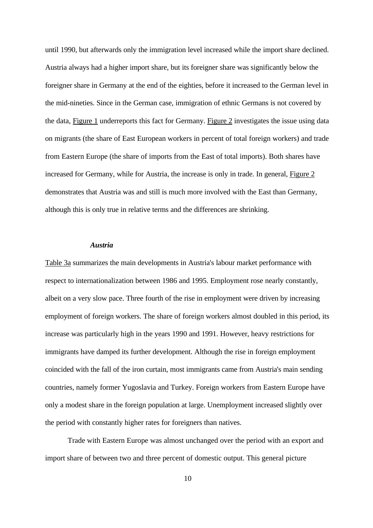until 1990, but afterwards only the immigration level increased while the import share declined. Austria always had a higher import share, but its foreigner share was significantly below the foreigner share in Germany at the end of the eighties, before it increased to the German level in the mid-nineties. Since in the German case, immigration of ethnic Germans is not covered by the data, Figure 1 underreports this fact for Germany. Figure 2 investigates the issue using data on migrants (the share of East European workers in percent of total foreign workers) and trade from Eastern Europe (the share of imports from the East of total imports). Both shares have increased for Germany, while for Austria, the increase is only in trade. In general, Figure 2 demonstrates that Austria was and still is much more involved with the East than Germany, although this is only true in relative terms and the differences are shrinking.

#### *Austria*

Table 3a summarizes the main developments in Austria's labour market performance with respect to internationalization between 1986 and 1995. Employment rose nearly constantly, albeit on a very slow pace. Three fourth of the rise in employment were driven by increasing employment of foreign workers. The share of foreign workers almost doubled in this period, its increase was particularly high in the years 1990 and 1991. However, heavy restrictions for immigrants have damped its further development. Although the rise in foreign employment coincided with the fall of the iron curtain, most immigrants came from Austria's main sending countries, namely former Yugoslavia and Turkey. Foreign workers from Eastern Europe have only a modest share in the foreign population at large. Unemployment increased slightly over the period with constantly higher rates for foreigners than natives.

Trade with Eastern Europe was almost unchanged over the period with an export and import share of between two and three percent of domestic output. This general picture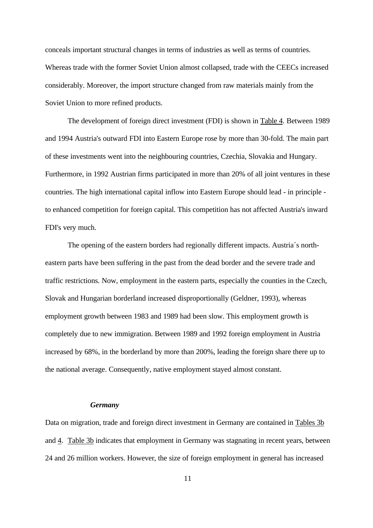conceals important structural changes in terms of industries as well as terms of countries. Whereas trade with the former Soviet Union almost collapsed, trade with the CEECs increased considerably. Moreover, the import structure changed from raw materials mainly from the Soviet Union to more refined products.

The development of foreign direct investment (FDI) is shown in Table 4. Between 1989 and 1994 Austria's outward FDI into Eastern Europe rose by more than 30-fold. The main part of these investments went into the neighbouring countries, Czechia, Slovakia and Hungary. Furthermore, in 1992 Austrian firms participated in more than 20% of all joint ventures in these countries. The high international capital inflow into Eastern Europe should lead - in principle to enhanced competition for foreign capital. This competition has not affected Austria's inward FDI's very much.

The opening of the eastern borders had regionally different impacts. Austria´s northeastern parts have been suffering in the past from the dead border and the severe trade and traffic restrictions. Now, employment in the eastern parts, especially the counties in the Czech, Slovak and Hungarian borderland increased disproportionally (Geldner, 1993), whereas employment growth between 1983 and 1989 had been slow. This employment growth is completely due to new immigration. Between 1989 and 1992 foreign employment in Austria increased by 68%, in the borderland by more than 200%, leading the foreign share there up to the national average. Consequently, native employment stayed almost constant.

#### *Germany*

Data on migration, trade and foreign direct investment in Germany are contained in Tables 3b and 4. Table 3b indicates that employment in Germany was stagnating in recent years, between 24 and 26 million workers. However, the size of foreign employment in general has increased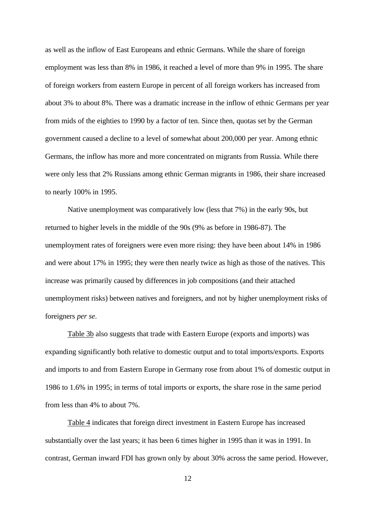as well as the inflow of East Europeans and ethnic Germans. While the share of foreign employment was less than 8% in 1986, it reached a level of more than 9% in 1995. The share of foreign workers from eastern Europe in percent of all foreign workers has increased from about 3% to about 8%. There was a dramatic increase in the inflow of ethnic Germans per year from mids of the eighties to 1990 by a factor of ten. Since then, quotas set by the German government caused a decline to a level of somewhat about 200,000 per year. Among ethnic Germans, the inflow has more and more concentrated on migrants from Russia. While there were only less that 2% Russians among ethnic German migrants in 1986, their share increased to nearly 100% in 1995.

Native unemployment was comparatively low (less that 7%) in the early 90s, but returned to higher levels in the middle of the 90s (9% as before in 1986-87). The unemployment rates of foreigners were even more rising: they have been about 14% in 1986 and were about 17% in 1995; they were then nearly twice as high as those of the natives. This increase was primarily caused by differences in job compositions (and their attached unemployment risks) between natives and foreigners, and not by higher unemployment risks of foreigners *per se*.

Table 3b also suggests that trade with Eastern Europe (exports and imports) was expanding significantly both relative to domestic output and to total imports/exports. Exports and imports to and from Eastern Europe in Germany rose from about 1% of domestic output in 1986 to 1.6% in 1995; in terms of total imports or exports, the share rose in the same period from less than 4% to about 7%.

Table 4 indicates that foreign direct investment in Eastern Europe has increased substantially over the last years; it has been 6 times higher in 1995 than it was in 1991. In contrast, German inward FDI has grown only by about 30% across the same period. However,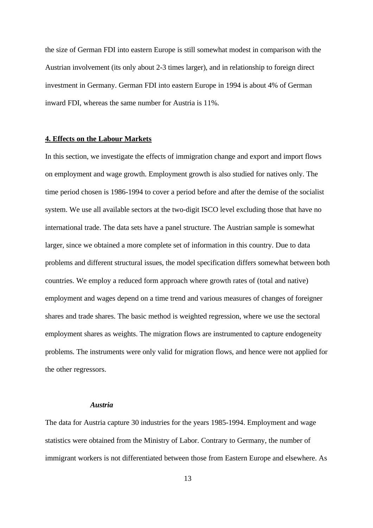the size of German FDI into eastern Europe is still somewhat modest in comparison with the Austrian involvement (its only about 2-3 times larger), and in relationship to foreign direct investment in Germany. German FDI into eastern Europe in 1994 is about 4% of German inward FDI, whereas the same number for Austria is 11%.

#### **4. Effects on the Labour Markets**

In this section, we investigate the effects of immigration change and export and import flows on employment and wage growth. Employment growth is also studied for natives only. The time period chosen is 1986-1994 to cover a period before and after the demise of the socialist system. We use all available sectors at the two-digit ISCO level excluding those that have no international trade. The data sets have a panel structure. The Austrian sample is somewhat larger, since we obtained a more complete set of information in this country. Due to data problems and different structural issues, the model specification differs somewhat between both countries. We employ a reduced form approach where growth rates of (total and native) employment and wages depend on a time trend and various measures of changes of foreigner shares and trade shares. The basic method is weighted regression, where we use the sectoral employment shares as weights. The migration flows are instrumented to capture endogeneity problems. The instruments were only valid for migration flows, and hence were not applied for the other regressors.

#### *Austria*

The data for Austria capture 30 industries for the years 1985-1994. Employment and wage statistics were obtained from the Ministry of Labor. Contrary to Germany, the number of immigrant workers is not differentiated between those from Eastern Europe and elsewhere. As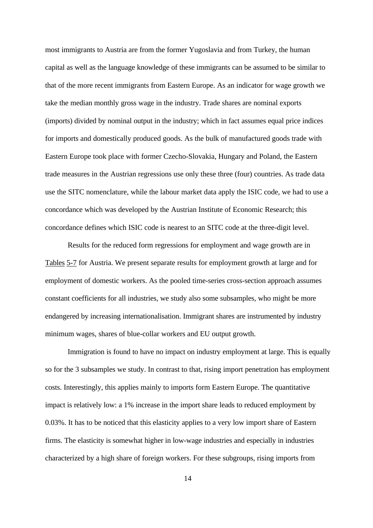most immigrants to Austria are from the former Yugoslavia and from Turkey, the human capital as well as the language knowledge of these immigrants can be assumed to be similar to that of the more recent immigrants from Eastern Europe. As an indicator for wage growth we take the median monthly gross wage in the industry. Trade shares are nominal exports (imports) divided by nominal output in the industry; which in fact assumes equal price indices for imports and domestically produced goods. As the bulk of manufactured goods trade with Eastern Europe took place with former Czecho-Slovakia, Hungary and Poland, the Eastern trade measures in the Austrian regressions use only these three (four) countries. As trade data use the SITC nomenclature, while the labour market data apply the ISIC code, we had to use a concordance which was developed by the Austrian Institute of Economic Research; this concordance defines which ISIC code is nearest to an SITC code at the three-digit level.

Results for the reduced form regressions for employment and wage growth are in Tables 5-7 for Austria. We present separate results for employment growth at large and for employment of domestic workers. As the pooled time-series cross-section approach assumes constant coefficients for all industries, we study also some subsamples, who might be more endangered by increasing internationalisation. Immigrant shares are instrumented by industry minimum wages, shares of blue-collar workers and EU output growth.

Immigration is found to have no impact on industry employment at large. This is equally so for the 3 subsamples we study. In contrast to that, rising import penetration has employment costs. Interestingly, this applies mainly to imports form Eastern Europe. The quantitative impact is relatively low: a 1% increase in the import share leads to reduced employment by 0.03%. It has to be noticed that this elasticity applies to a very low import share of Eastern firms. The elasticity is somewhat higher in low-wage industries and especially in industries characterized by a high share of foreign workers. For these subgroups, rising imports from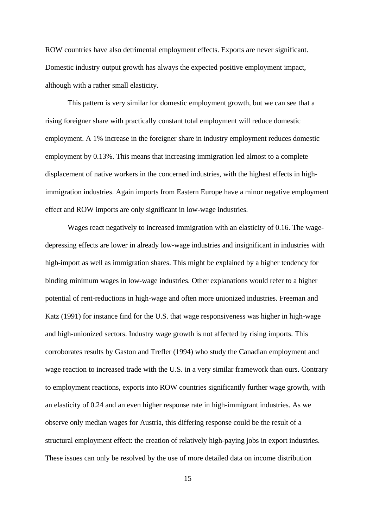ROW countries have also detrimental employment effects. Exports are never significant. Domestic industry output growth has always the expected positive employment impact, although with a rather small elasticity.

This pattern is very similar for domestic employment growth, but we can see that a rising foreigner share with practically constant total employment will reduce domestic employment. A 1% increase in the foreigner share in industry employment reduces domestic employment by 0.13%. This means that increasing immigration led almost to a complete displacement of native workers in the concerned industries, with the highest effects in highimmigration industries. Again imports from Eastern Europe have a minor negative employment effect and ROW imports are only significant in low-wage industries.

Wages react negatively to increased immigration with an elasticity of 0.16. The wagedepressing effects are lower in already low-wage industries and insignificant in industries with high-import as well as immigration shares. This might be explained by a higher tendency for binding minimum wages in low-wage industries. Other explanations would refer to a higher potential of rent-reductions in high-wage and often more unionized industries. Freeman and Katz (1991) for instance find for the U.S. that wage responsiveness was higher in high-wage and high-unionized sectors. Industry wage growth is not affected by rising imports. This corroborates results by Gaston and Trefler (1994) who study the Canadian employment and wage reaction to increased trade with the U.S. in a very similar framework than ours. Contrary to employment reactions, exports into ROW countries significantly further wage growth, with an elasticity of 0.24 and an even higher response rate in high-immigrant industries. As we observe only median wages for Austria, this differing response could be the result of a structural employment effect: the creation of relatively high-paying jobs in export industries. These issues can only be resolved by the use of more detailed data on income distribution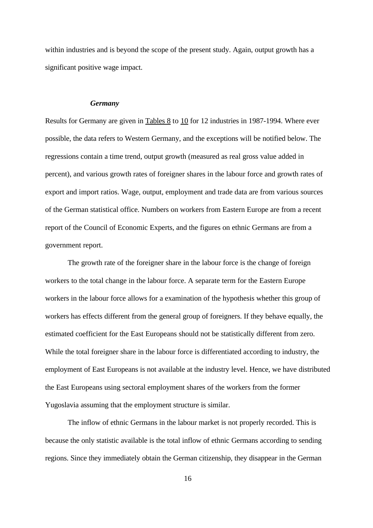within industries and is beyond the scope of the present study. Again, output growth has a significant positive wage impact.

#### *Germany*

Results for Germany are given in Tables 8 to 10 for 12 industries in 1987-1994. Where ever possible, the data refers to Western Germany, and the exceptions will be notified below. The regressions contain a time trend, output growth (measured as real gross value added in percent), and various growth rates of foreigner shares in the labour force and growth rates of export and import ratios. Wage, output, employment and trade data are from various sources of the German statistical office. Numbers on workers from Eastern Europe are from a recent report of the Council of Economic Experts, and the figures on ethnic Germans are from a government report.

The growth rate of the foreigner share in the labour force is the change of foreign workers to the total change in the labour force. A separate term for the Eastern Europe workers in the labour force allows for a examination of the hypothesis whether this group of workers has effects different from the general group of foreigners. If they behave equally, the estimated coefficient for the East Europeans should not be statistically different from zero. While the total foreigner share in the labour force is differentiated according to industry, the employment of East Europeans is not available at the industry level. Hence, we have distributed the East Europeans using sectoral employment shares of the workers from the former Yugoslavia assuming that the employment structure is similar.

The inflow of ethnic Germans in the labour market is not properly recorded. This is because the only statistic available is the total inflow of ethnic Germans according to sending regions. Since they immediately obtain the German citizenship, they disappear in the German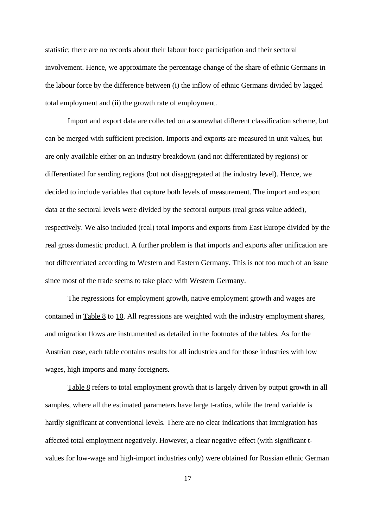statistic; there are no records about their labour force participation and their sectoral involvement. Hence, we approximate the percentage change of the share of ethnic Germans in the labour force by the difference between (i) the inflow of ethnic Germans divided by lagged total employment and (ii) the growth rate of employment.

Import and export data are collected on a somewhat different classification scheme, but can be merged with sufficient precision. Imports and exports are measured in unit values, but are only available either on an industry breakdown (and not differentiated by regions) or differentiated for sending regions (but not disaggregated at the industry level). Hence, we decided to include variables that capture both levels of measurement. The import and export data at the sectoral levels were divided by the sectoral outputs (real gross value added), respectively. We also included (real) total imports and exports from East Europe divided by the real gross domestic product. A further problem is that imports and exports after unification are not differentiated according to Western and Eastern Germany. This is not too much of an issue since most of the trade seems to take place with Western Germany.

The regressions for employment growth, native employment growth and wages are contained in Table 8 to 10. All regressions are weighted with the industry employment shares, and migration flows are instrumented as detailed in the footnotes of the tables. As for the Austrian case, each table contains results for all industries and for those industries with low wages, high imports and many foreigners.

Table 8 refers to total employment growth that is largely driven by output growth in all samples, where all the estimated parameters have large t-ratios, while the trend variable is hardly significant at conventional levels. There are no clear indications that immigration has affected total employment negatively. However, a clear negative effect (with significant tvalues for low-wage and high-import industries only) were obtained for Russian ethnic German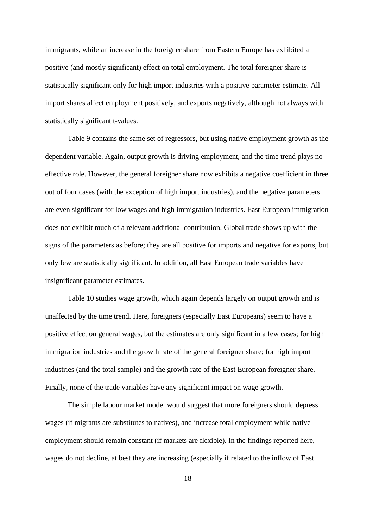immigrants, while an increase in the foreigner share from Eastern Europe has exhibited a positive (and mostly significant) effect on total employment. The total foreigner share is statistically significant only for high import industries with a positive parameter estimate. All import shares affect employment positively, and exports negatively, although not always with statistically significant t-values.

Table 9 contains the same set of regressors, but using native employment growth as the dependent variable. Again, output growth is driving employment, and the time trend plays no effective role. However, the general foreigner share now exhibits a negative coefficient in three out of four cases (with the exception of high import industries), and the negative parameters are even significant for low wages and high immigration industries. East European immigration does not exhibit much of a relevant additional contribution. Global trade shows up with the signs of the parameters as before; they are all positive for imports and negative for exports, but only few are statistically significant. In addition, all East European trade variables have insignificant parameter estimates.

Table 10 studies wage growth, which again depends largely on output growth and is unaffected by the time trend. Here, foreigners (especially East Europeans) seem to have a positive effect on general wages, but the estimates are only significant in a few cases; for high immigration industries and the growth rate of the general foreigner share; for high import industries (and the total sample) and the growth rate of the East European foreigner share. Finally, none of the trade variables have any significant impact on wage growth.

The simple labour market model would suggest that more foreigners should depress wages (if migrants are substitutes to natives), and increase total employment while native employment should remain constant (if markets are flexible). In the findings reported here, wages do not decline, at best they are increasing (especially if related to the inflow of East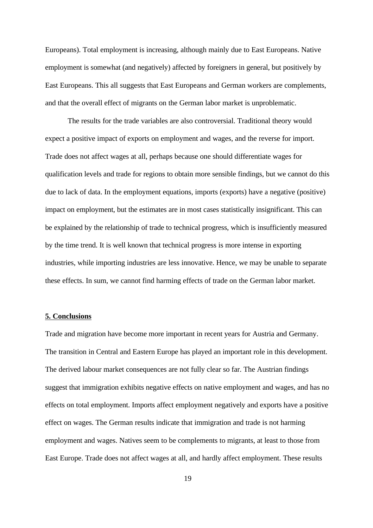Europeans). Total employment is increasing, although mainly due to East Europeans. Native employment is somewhat (and negatively) affected by foreigners in general, but positively by East Europeans. This all suggests that East Europeans and German workers are complements, and that the overall effect of migrants on the German labor market is unproblematic.

The results for the trade variables are also controversial. Traditional theory would expect a positive impact of exports on employment and wages, and the reverse for import. Trade does not affect wages at all, perhaps because one should differentiate wages for qualification levels and trade for regions to obtain more sensible findings, but we cannot do this due to lack of data. In the employment equations, imports (exports) have a negative (positive) impact on employment, but the estimates are in most cases statistically insignificant. This can be explained by the relationship of trade to technical progress, which is insufficiently measured by the time trend. It is well known that technical progress is more intense in exporting industries, while importing industries are less innovative. Hence, we may be unable to separate these effects. In sum, we cannot find harming effects of trade on the German labor market.

#### **5. Conclusions**

Trade and migration have become more important in recent years for Austria and Germany. The transition in Central and Eastern Europe has played an important role in this development. The derived labour market consequences are not fully clear so far. The Austrian findings suggest that immigration exhibits negative effects on native employment and wages, and has no effects on total employment. Imports affect employment negatively and exports have a positive effect on wages. The German results indicate that immigration and trade is not harming employment and wages. Natives seem to be complements to migrants, at least to those from East Europe. Trade does not affect wages at all, and hardly affect employment. These results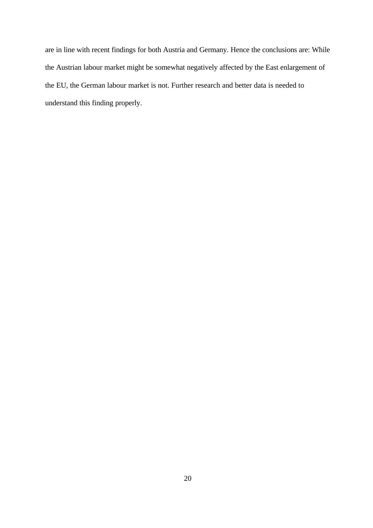are in line with recent findings for both Austria and Germany. Hence the conclusions are: While the Austrian labour market might be somewhat negatively affected by the East enlargement of the EU, the German labour market is not. Further research and better data is needed to understand this finding properly.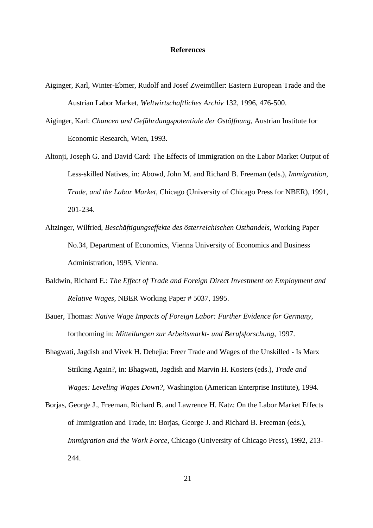#### **References**

- Aiginger, Karl, Winter-Ebmer, Rudolf and Josef Zweimüller: Eastern European Trade and the Austrian Labor Market*, Weltwirtschaftliches Archiv* 132, 1996, 476-500.
- Aiginger, Karl: *Chancen und Gefährdungspotentiale der Ostöffnung*, Austrian Institute for Economic Research, Wien, 1993.
- Altonji, Joseph G. and David Card: The Effects of Immigration on the Labor Market Output of Less-skilled Natives, in: Abowd, John M. and Richard B. Freeman (eds.), *Immigration, Trade, and the Labor Market*, Chicago (University of Chicago Press for NBER), 1991, 201-234.
- Altzinger, Wilfried, *Beschäftigungseffekte des österreichischen Osthandels*, Working Paper No.34, Department of Economics, Vienna University of Economics and Business Administration, 1995, Vienna.
- Baldwin, Richard E.: *The Effect of Trade and Foreign Direct Investment on Employment and Relative Wages*, NBER Working Paper # 5037, 1995.
- Bauer, Thomas: *Native Wage Impacts of Foreign Labor: Further Evidence for Germany*, forthcoming in: *Mitteilungen zur Arbeitsmarkt- und Berufsforschung*, 1997.
- Bhagwati, Jagdish and Vivek H. Dehejia: Freer Trade and Wages of the Unskilled Is Marx Striking Again?, in: Bhagwati, Jagdish and Marvin H. Kosters (eds.), *Trade and Wages: Leveling Wages Down?*, Washington (American Enterprise Institute), 1994.
- Borjas, George J., Freeman, Richard B. and Lawrence H. Katz: On the Labor Market Effects of Immigration and Trade, in: Borjas, George J. and Richard B. Freeman (eds.), *Immigration and the Work Force*, Chicago (University of Chicago Press), 1992, 213- 244.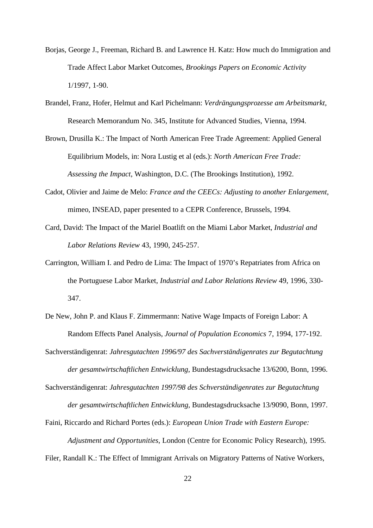- Borjas, George J., Freeman, Richard B. and Lawrence H. Katz: How much do Immigration and Trade Affect Labor Market Outcomes, *Brookings Papers on Economic Activity* 1/1997, 1-90.
- Brandel, Franz, Hofer, Helmut and Karl Pichelmann: *Verdrängungsprozesse am Arbeitsmarkt,* Research Memorandum No. 345, Institute for Advanced Studies, Vienna, 1994.
- Brown, Drusilla K.: The Impact of North American Free Trade Agreement: Applied General Equilibrium Models, in: Nora Lustig et al (eds.): *North American Free Trade: Assessing the Impact*, Washington, D.C. (The Brookings Institution), 1992.
- Cadot, Olivier and Jaime de Melo: *France and the CEECs: Adjusting to another Enlargement*, mimeo, INSEAD, paper presented to a CEPR Conference, Brussels, 1994.
- Card, David: The Impact of the Mariel Boatlift on the Miami Labor Market, *Industrial and Labor Relations Review* 43, 1990, 245-257.
- Carrington, William I. and Pedro de Lima: The Impact of 1970's Repatriates from Africa on the Portuguese Labor Market, *Industrial and Labor Relations Review* 49, 1996, 330- 347.
- De New, John P. and Klaus F. Zimmermann: Native Wage Impacts of Foreign Labor: A Random Effects Panel Analysis, *Journal of Population Economics* 7, 1994, 177-192.
- Sachverständigenrat: *Jahresgutachten 1996/97 des Sachverständigenrates zur Begutachtung der gesamtwirtschaftlichen Entwicklung*, Bundestagsdrucksache 13/6200, Bonn, 1996.
- Sachverständigenrat: *Jahresgutachten 1997/98 des Schverständigenrates zur Begutachtung der gesamtwirtschaftlichen Entwicklung,* Bundestagsdrucksache 13/9090, Bonn, 1997.
- Faini, Riccardo and Richard Portes (eds.): *European Union Trade with Eastern Europe: Adjustment and Opportunities*, London (Centre for Economic Policy Research), 1995.

Filer, Randall K.: The Effect of Immigrant Arrivals on Migratory Patterns of Native Workers,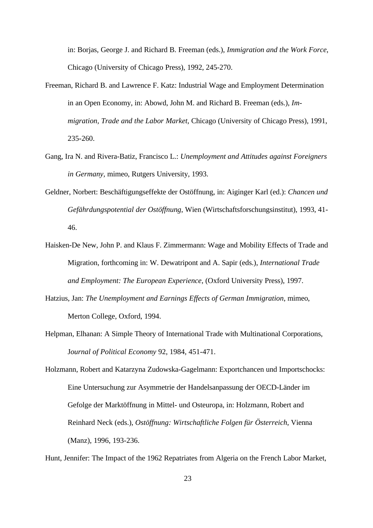in: Borjas, George J. and Richard B. Freeman (eds.), *Immigration and the Work Force*, Chicago (University of Chicago Press), 1992, 245-270.

- Freeman, Richard B. and Lawrence F. Katz: Industrial Wage and Employment Determination in an Open Economy, in: Abowd, John M. and Richard B. Freeman (eds.), *Immigration, Trade and the Labor Market*, Chicago (University of Chicago Press), 1991, 235-260.
- Gang, Ira N. and Rivera-Batiz, Francisco L.: *Unemployment and Attitudes against Foreigners in Germany,* mimeo, Rutgers University, 1993.
- Geldner, Norbert: Beschäftigungseffekte der Ostöffnung, in: Aiginger Karl (ed.): *Chancen und Gefährdungspotential der Ostöffnung*, Wien (Wirtschaftsforschungsinstitut), 1993, 41- 46.
- Haisken-De New, John P. and Klaus F. Zimmermann: Wage and Mobility Effects of Trade and Migration, forthcoming in: W. Dewatripont and A. Sapir (eds.), *International Trade and Employment: The European Experience*, (Oxford University Press), 1997.
- Hatzius, Jan: *The Unemployment and Earnings Effects of German Immigration*, mimeo, Merton College, Oxford, 1994.
- Helpman, Elhanan: A Simple Theory of International Trade with Multinational Corporations, J*ournal of Political Economy* 92, 1984, 451-471.
- Holzmann, Robert and Katarzyna Zudowska-Gagelmann: Exportchancen und Importschocks: Eine Untersuchung zur Asymmetrie der Handelsanpassung der OECD-Länder im Gefolge der Marktöffnung in Mittel- und Osteuropa, in: Holzmann, Robert and Reinhard Neck (eds.), *Ostöffnung: Wirtschaftliche Folgen für Österreich*, Vienna (Manz), 1996, 193-236.

Hunt, Jennifer: The Impact of the 1962 Repatriates from Algeria on the French Labor Market,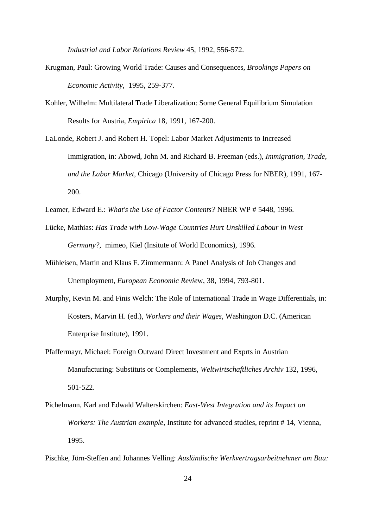*Industrial and Labor Relations Review* 45, 1992, 556-572.

- Krugman, Paul: Growing World Trade: Causes and Consequences, *Brookings Papers on Economic Activity*, 1995, 259-377.
- Kohler, Wilhelm: Multilateral Trade Liberalization: Some General Equilibrium Simulation Results for Austria, *Empirica* 18, 1991, 167-200.
- LaLonde, Robert J. and Robert H. Topel: Labor Market Adjustments to Increased Immigration, in: Abowd, John M. and Richard B. Freeman (eds.), *Immigration, Trade, and the Labor Market*, Chicago (University of Chicago Press for NBER), 1991, 167- 200.
- Leamer, Edward E.: *What's the Use of Factor Contents?* NBER WP # 5448, 1996.
- Lücke, Mathias: *Has Trade with Low-Wage Countries Hurt Unskilled Labour in West Germany?,* mimeo, Kiel (Insitute of World Economics), 1996.
- Mühleisen, Martin and Klaus F. Zimmermann: A Panel Analysis of Job Changes and Unemployment, *European Economic Revie*w, 38, 1994, 793-801.
- Murphy, Kevin M. and Finis Welch: The Role of International Trade in Wage Differentials, in: Kosters, Marvin H. (ed.), *Workers and their Wages*, Washington D.C. (American Enterprise Institute), 1991.
- Pfaffermayr, Michael: Foreign Outward Direct Investment and Exprts in Austrian Manufacturing: Substituts or Complements, *Weltwirtschaftliches Archiv* 132, 1996, 501-522.
- Pichelmann, Karl and Edwald Walterskirchen: *East-West Integration and its Impact on Workers: The Austrian example*, Institute for advanced studies, reprint # 14, Vienna, 1995.

Pischke, Jörn-Steffen and Johannes Velling: *Ausländische Werkvertragsarbeitnehmer am Bau:*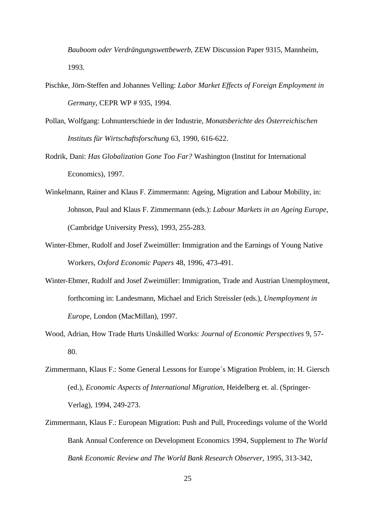*Bauboom oder Verdrängungswettbewerb*, ZEW Discussion Paper 9315, Mannheim, 1993.

- Pischke, Jörn-Steffen and Johannes Velling: *Labor Market Effects of Foreign Employment in Germany*, CEPR WP # 935, 1994.
- Pollan, Wolfgang: Lohnunterschiede in der Industrie, *Monatsberichte des Österreichischen Instituts für Wirtschaftsforschung* 63, 1990, 616-622.
- Rodrik, Dani: *Has Globalization Gone Too Far?* Washington (Institut for International Economics), 1997.
- Winkelmann, Rainer and Klaus F. Zimmermann: Ageing, Migration and Labour Mobility, in: Johnson, Paul and Klaus F. Zimmermann (eds.): *Labour Markets in an Ageing Europe,* (Cambridge University Press), 1993, 255-283.
- Winter-Ebmer, Rudolf and Josef Zweimüller: Immigration and the Earnings of Young Native Workers, *Oxford Economic Papers* 48, 1996, 473-491.
- Winter-Ebmer, Rudolf and Josef Zweimüller: Immigration, Trade and Austrian Unemployment, forthcoming in: Landesmann, Michael and Erich Streissler (eds.), *Unemployment in Europe*, London (MacMillan), 1997.
- Wood, Adrian, How Trade Hurts Unskilled Works: *Journal of Economic Perspectives* 9, 57- 80.
- Zimmermann, Klaus F.: Some General Lessons for Europe´s Migration Problem, in: H. Giersch (ed.), *Economic Aspects of International Migration*, Heidelberg et. al. (Springer-Verlag), 1994, 249-273.
- Zimmermann, Klaus F.: European Migration: Push and Pull, Proceedings volume of the World Bank Annual Conference on Development Economics 1994, Supplement to *The World Bank Economic Review and The World Bank Research Observer*, 1995, 313-342,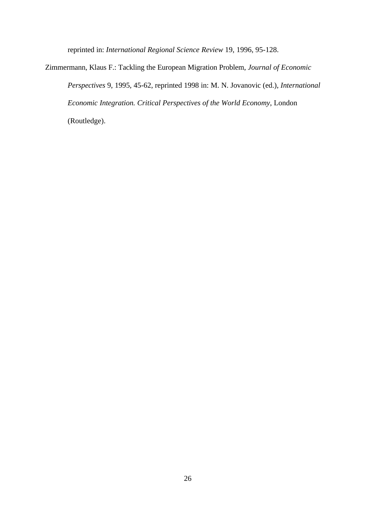reprinted in: *International Regional Science Review* 19, 1996, 95-128.

Zimmermann, Klaus F.: Tackling the European Migration Problem, *Journal of Economic Perspectives* 9, 1995, 45-62, reprinted 1998 in: M. N. Jovanovic (ed.), *International Economic Integration. Critical Perspectives of the World Economy*, London (Routledge).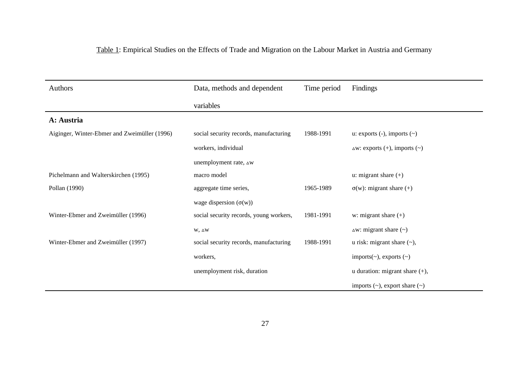| Table 1: Empirical Studies on the Effects of Trade and Migration on the Labour Market in Austria and Germany |  |  |
|--------------------------------------------------------------------------------------------------------------|--|--|
|                                                                                                              |  |  |

| Authors                                      | Data, methods and dependent             | Time period | Findings                                 |
|----------------------------------------------|-----------------------------------------|-------------|------------------------------------------|
|                                              | variables                               |             |                                          |
| A: Austria                                   |                                         |             |                                          |
| Aiginger, Winter-Ebmer and Zweimüller (1996) | social security records, manufacturing  | 1988-1991   | u: exports $(-)$ , imports $(\sim)$      |
|                                              | workers, individual                     |             | $\Delta W$ : exports (+), imports (~)    |
|                                              | unemployment rate, ∆w                   |             |                                          |
| Pichelmann and Walterskirchen (1995)         | macro model                             |             | $u:$ migrant share $(+)$                 |
| Pollan (1990)                                | aggregate time series,                  | 1965-1989   | $\sigma(w)$ : migrant share (+)          |
|                                              | wage dispersion $(\sigma(w))$           |             |                                          |
| Winter-Ebmer and Zweimüller (1996)           | social security records, young workers, | 1981-1991   | w: migrant share $(+)$                   |
|                                              | $W, \triangle W$                        |             | $\Delta W$ : migrant share $(\sim)$      |
| Winter-Ebmer and Zweimüller (1997)           | social security records, manufacturing  | 1988-1991   | u risk: migrant share $(\sim)$ ,         |
|                                              | workers,                                |             | imports $(\sim)$ , exports $(\sim)$      |
|                                              | unemployment risk, duration             |             | u duration: migrant share $(+)$ ,        |
|                                              |                                         |             | imports $(\sim)$ , export share $(\sim)$ |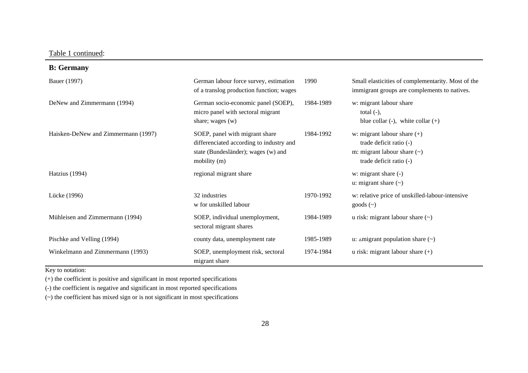Table 1 continued:

**B: Germany**

| Bauer (1997)                        | German labour force survey, estimation<br>of a translog production function; wages                                                | 1990      | Small elasticities of complementarity. Most of the<br>immigrant groups are complements to natives.                      |
|-------------------------------------|-----------------------------------------------------------------------------------------------------------------------------------|-----------|-------------------------------------------------------------------------------------------------------------------------|
| DeNew and Zimmermann (1994)         | German socio-economic panel (SOEP),<br>micro panel with sectoral migrant<br>share; wages $(w)$                                    | 1984-1989 | w: migrant labour share<br>total $(-)$ ,<br>blue collar $(-)$ , white collar $(+)$                                      |
| Haisken-DeNew and Zimmermann (1997) | SOEP, panel with migrant share<br>differenciated according to industry and<br>state (Bundesländer); wages (w) and<br>mobility (m) | 1984-1992 | w: migrant labour share $(+)$<br>trade deficit ratio (-)<br>m: migrant labour share $(\sim)$<br>trade deficit ratio (-) |
| Hatzius (1994)                      | regional migrant share                                                                                                            |           | w: migrant share (-)<br>u: migrant share $(\sim)$                                                                       |
| Lücke (1996)                        | 32 industries<br>w for unskilled labour                                                                                           | 1970-1992 | w: relative price of unskilled-labour-intensive<br>goods $(\sim)$                                                       |
| Mühleisen and Zimmermann (1994)     | SOEP, individual unemployment,<br>sectoral migrant shares                                                                         | 1984-1989 | u risk: migrant labour share $(\sim)$                                                                                   |
| Pischke and Velling (1994)          | county data, unemployment rate                                                                                                    | 1985-1989 | u: $\Delta$ migrant population share $(\sim)$                                                                           |
| Winkelmann and Zimmermann (1993)    | SOEP, unemployment risk, sectoral<br>migrant share                                                                                | 1974-1984 | u risk: migrant labour share $(+)$                                                                                      |

Key to notation:

(+) the coefficient is positive and significant in most reported specifications

(-) the coefficient is negative and significant in most reported specifications

(~) the coefficient has mixed sign or is not significant in most specifications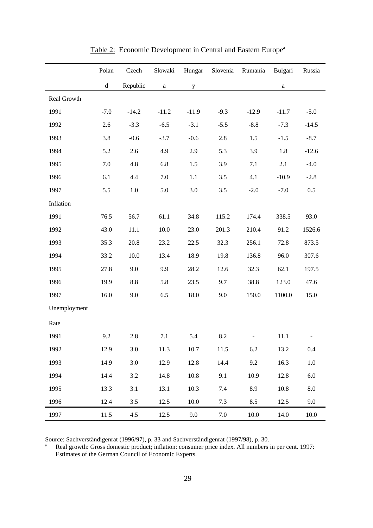|              | Polan                                          | Czech    | Slowaki      | Hungar      | Slovenia | Rumania  | Bulgari      | Russia     |
|--------------|------------------------------------------------|----------|--------------|-------------|----------|----------|--------------|------------|
|              | $\mathrm{d}% \left\  \mathcal{H}\right\  _{A}$ | Republic | $\mathbf{a}$ | $\mathbf y$ |          |          | $\mathbf{a}$ |            |
| Real Growth  |                                                |          |              |             |          |          |              |            |
| 1991         | $-7.0$                                         | $-14.2$  | $-11.2$      | $-11.9$     | $-9.3$   | $-12.9$  | $-11.7$      | $-5.0$     |
| 1992         | 2.6                                            | $-3.3$   | $-6.5$       | $-3.1$      | $-5.5$   | $-8.8$   | $-7.3$       | $-14.5$    |
| 1993         | 3.8                                            | $-0.6$   | $-3.7$       | $-0.6$      | 2.8      | 1.5      | $-1.5$       | $-8.7$     |
| 1994         | 5.2                                            | 2.6      | 4.9          | 2.9         | 5.3      | 3.9      | 1.8          | $-12.6$    |
| 1995         | 7.0                                            | 4.8      | 6.8          | 1.5         | 3.9      | 7.1      | 2.1          | $-4.0$     |
| 1996         | 6.1                                            | 4.4      | 7.0          | $1.1\,$     | 3.5      | 4.1      | $-10.9$      | $-2.8$     |
| 1997         | 5.5                                            | $1.0\,$  | 5.0          | 3.0         | 3.5      | $-2.0$   | $-7.0$       | $0.5\,$    |
| Inflation    |                                                |          |              |             |          |          |              |            |
| 1991         | 76.5                                           | 56.7     | 61.1         | 34.8        | 115.2    | 174.4    | 338.5        | 93.0       |
| 1992         | 43.0                                           | 11.1     | 10.0         | 23.0        | 201.3    | 210.4    | 91.2         | 1526.6     |
| 1993         | 35.3                                           | 20.8     | 23.2         | 22.5        | 32.3     | 256.1    | 72.8         | 873.5      |
| 1994         | 33.2                                           | 10.0     | 13.4         | 18.9        | 19.8     | 136.8    | 96.0         | 307.6      |
| 1995         | 27.8                                           | 9.0      | 9.9          | 28.2        | 12.6     | 32.3     | 62.1         | 197.5      |
| 1996         | 19.9                                           | 8.8      | 5.8          | 23.5        | 9.7      | 38.8     | 123.0        | 47.6       |
| 1997         | 16.0                                           | 9.0      | 6.5          | 18.0        | 9.0      | 150.0    | 1100.0       | 15.0       |
| Unemployment |                                                |          |              |             |          |          |              |            |
| Rate         |                                                |          |              |             |          |          |              |            |
| 1991         | 9.2                                            | 2.8      | 7.1          | 5.4         | 8.2      |          | 11.1         |            |
| 1992         | 12.9                                           | 3.0      | 11.3         | 10.7        | 11.5     | 6.2      | 13.2         | 0.4        |
| 1993         | 14.9                                           | 3.0      | 12.9         | 12.8        | 14.4     | 9.2      | 16.3         | $1.0\,$    |
| 1994         | 14.4                                           | 3.2      | 14.8         | 10.8        | 9.1      | 10.9     | 12.8         | $6.0\,$    |
| 1995         | 13.3                                           | 3.1      | 13.1         | 10.3        | 7.4      | 8.9      | 10.8         | $\ \, 8.0$ |
| 1996         | 12.4                                           | 3.5      | 12.5         | 10.0        | 7.3      | 8.5      | 12.5         | 9.0        |
| 1997         | 11.5                                           | 4.5      | 12.5         | 9.0         | $7.0\,$  | $10.0\,$ | 14.0         | $10.0\,$   |

Table 2: Economic Development in Central and Eastern Europe<sup>a</sup>

Source: Sachverständigenrat (1996/97), p. 33 and Sachverständigenrat (1997/98), p. 30.<br>Real growth: Gross domestic product: inflation: consumer price index All numbers

Real growth: Gross domestic product; inflation: consumer price index. All numbers in per cent. 1997: Estimates of the German Council of Economic Experts.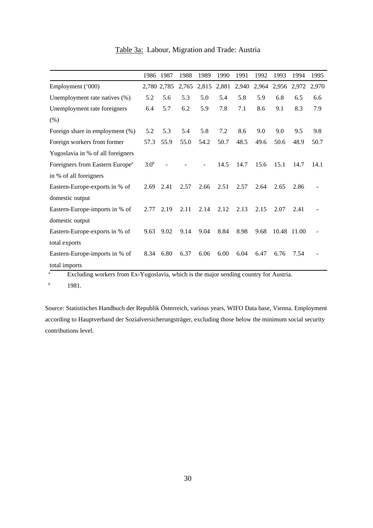Table 3a: Labour, Migration and Trade: Austria

|                                             | 1986             | 1987        | 1988  | 1989  | 1990  | 1991  | 1992  | 1993  | 1994  | 1995  |
|---------------------------------------------|------------------|-------------|-------|-------|-------|-------|-------|-------|-------|-------|
| Employment ('000)                           |                  | 2,780 2,785 | 2,765 | 2,815 | 2,881 | 2,940 | 2,964 | 2,956 | 2,972 | 2,970 |
| Unemployment rate natives (%)               | 5.2              | 5.6         | 5.3   | 5.0   | 5.4   | 5.8   | 5.9   | 6.8   | 6.5   | 6.6   |
| Unemployment rate foreigners                | 6.4              | 5.7         | 6.2   | 5.9   | 7.8   | 7.1   | 8.6   | 9.1   | 8.3   | 7.9   |
| (% )                                        |                  |             |       |       |       |       |       |       |       |       |
| Foreign share in employment (%)             | 5.2              | 5.3         | 5.4   | 5.8   | 7.2   | 8.6   | 9.0   | 9.0   | 9.5   | 9.8   |
| Foreign workers from former                 | 57.3             | 55.9        | 55.0  | 54.2  | 50.7  | 48.5  | 49.6  | 50.6  | 48.9  | 50.7  |
| Yugoslavia in % of all foreigners           |                  |             |       |       |       |       |       |       |       |       |
| Foreigners from Eastern Europe <sup>a</sup> | 3.0 <sup>b</sup> |             |       |       | 14.5  | 14.7  | 15.6  | 15.1  | 14.7  | 14.1  |
| in % of all foreigners                      |                  |             |       |       |       |       |       |       |       |       |
| Eastern-Europe-exports in % of              | 2.69             | 2.41        | 2.57  | 2.66  | 2.51  | 2.57  | 2.64  | 2.65  | 2.86  |       |
| domestic output                             |                  |             |       |       |       |       |       |       |       |       |
| Eastern-Europe-imports in % of              | 2.77             | 2.19        | 2.11  | 2.14  | 2.12  | 2.13  | 2.15  | 2.07  | 2.41  |       |
| domestic output                             |                  |             |       |       |       |       |       |       |       |       |
| Eastern-Europe-exports in % of              | 9.63             | 9.02        | 9.14  | 9.04  | 8.84  | 8.98  | 9.68  | 10.48 | 11.00 |       |
| total exports                               |                  |             |       |       |       |       |       |       |       |       |
| Eastern-Europe-imports in % of              | 8.34             | 6.80        | 6.37  | 6.06  | 6.00  | 6.04  | 6.47  | 6.76  | 7.54  |       |
| total imports                               |                  |             |       |       |       |       |       |       |       |       |

<sup>a</sup> Excluding workers from Ex-Yugoslavia, which is the major sending country for Austria.

b 1981.

Source: Statistisches Handbuch der Republik Österreich, various years, WIFO Data base, Vienna. Employment according to Hauptverband der Sozialversicherungsträger, excluding those below the minimum social security contributions level.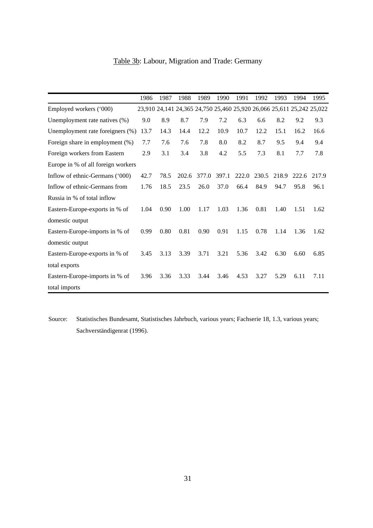|                                    | 1986 | 1987 | 1988  | 1989  | 1990  | 1991  | 1992  | 1993  | 1994                                                                  | 1995  |
|------------------------------------|------|------|-------|-------|-------|-------|-------|-------|-----------------------------------------------------------------------|-------|
| Employed workers ('000)            |      |      |       |       |       |       |       |       | 23,910 24,141 24,365 24,750 25,460 25,920 26,066 25,611 25,242 25,022 |       |
| Unemployment rate natives (%)      | 9.0  | 8.9  | 8.7   | 7.9   | 7.2   | 6.3   | 6.6   | 8.2   | 9.2                                                                   | 9.3   |
| Unemployment rate foreigners (%)   | 13.7 | 14.3 | 14.4  | 12.2  | 10.9  | 10.7  | 12.2  | 15.1  | 16.2                                                                  | 16.6  |
| Foreign share in employment (%)    | 7.7  | 7.6  | 7.6   | 7.8   | 8.0   | 8.2   | 8.7   | 9.5   | 9.4                                                                   | 9.4   |
| Foreign workers from Eastern       | 2.9  | 3.1  | 3.4   | 3.8   | 4.2   | 5.5   | 7.3   | 8.1   | 7.7                                                                   | 7.8   |
| Europe in % of all foreign workers |      |      |       |       |       |       |       |       |                                                                       |       |
| Inflow of ethnic-Germans ('000)    | 42.7 | 78.5 | 202.6 | 377.0 | 397.1 | 222.0 | 230.5 | 218.9 | 222.6                                                                 | 217.9 |
| Inflow of ethnic-Germans from      | 1.76 | 18.5 | 23.5  | 26.0  | 37.0  | 66.4  | 84.9  | 94.7  | 95.8                                                                  | 96.1  |
| Russia in % of total inflow        |      |      |       |       |       |       |       |       |                                                                       |       |
| Eastern-Europe-exports in % of     | 1.04 | 0.90 | 1.00  | 1.17  | 1.03  | 1.36  | 0.81  | 1.40  | 1.51                                                                  | 1.62  |
| domestic output                    |      |      |       |       |       |       |       |       |                                                                       |       |
| Eastern-Europe-imports in % of     | 0.99 | 0.80 | 0.81  | 0.90  | 0.91  | 1.15  | 0.78  | 1.14  | 1.36                                                                  | 1.62  |
| domestic output                    |      |      |       |       |       |       |       |       |                                                                       |       |
| Eastern-Europe-exports in % of     | 3.45 | 3.13 | 3.39  | 3.71  | 3.21  | 5.36  | 3.42  | 6.30  | 6.60                                                                  | 6.85  |
| total exports                      |      |      |       |       |       |       |       |       |                                                                       |       |
| Eastern-Europe-imports in % of     | 3.96 | 3.36 | 3.33  | 3.44  | 3.46  | 4.53  | 3.27  | 5.29  | 6.11                                                                  | 7.11  |
| total imports                      |      |      |       |       |       |       |       |       |                                                                       |       |

### Table 3b: Labour, Migration and Trade: Germany

 Source: Statistisches Bundesamt, Statistisches Jahrbuch, various years; Fachserie 18, 1.3, various years; Sachverständigenrat (1996).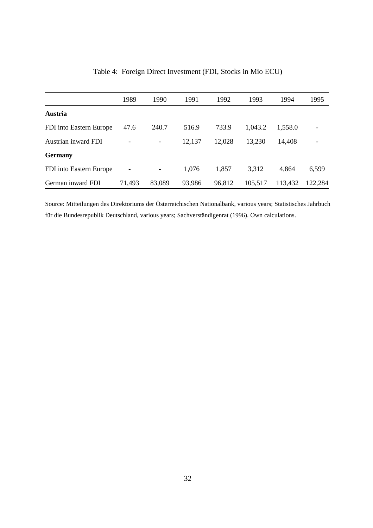|                         | 1989   | 1990                         | 1991   | 1992   | 1993    | 1994    | 1995    |
|-------------------------|--------|------------------------------|--------|--------|---------|---------|---------|
| Austria                 |        |                              |        |        |         |         |         |
| FDI into Eastern Europe | 47.6   | 240.7                        | 516.9  | 733.9  | 1,043.2 | 1,558.0 |         |
| Austrian inward FDI     |        | -                            | 12,137 | 12,028 | 13,230  | 14,408  |         |
| <b>Germany</b>          |        |                              |        |        |         |         |         |
| FDI into Eastern Europe | -      | $\qquad \qquad \blacksquare$ | 1,076  | 1,857  | 3,312   | 4,864   | 6,599   |
| German inward FDI       | 71,493 | 83,089                       | 93,986 | 96,812 | 105,517 | 113,432 | 122,284 |

|  | Table 4: Foreign Direct Investment (FDI, Stocks in Mio ECU) |  |  |  |
|--|-------------------------------------------------------------|--|--|--|
|  |                                                             |  |  |  |

Source: Mitteilungen des Direktoriums der Österreichischen Nationalbank, various years; Statistisches Jahrbuch für die Bundesrepublik Deutschland, various years; Sachverständigenrat (1996). Own calculations.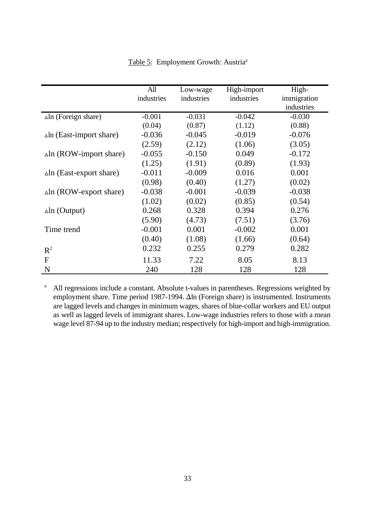|                                 | All        | Low-wage   | High-import | High-       |
|---------------------------------|------------|------------|-------------|-------------|
|                                 | industries | industries | industries  | immigration |
|                                 |            |            |             | industries  |
| $\Delta$ ln (Foreign share)     | $-0.001$   | $-0.031$   | $-0.042$    | $-0.030$    |
|                                 | (0.04)     | (0.87)     | (1.12)      | (0.88)      |
| $\Delta$ ln (East-import share) | $-0.036$   | $-0.045$   | $-0.019$    | $-0.076$    |
|                                 | (2.59)     | (2.12)     | (1.06)      | (3.05)      |
| $\Delta$ ln (ROW-import share)  | $-0.055$   | $-0.150$   | 0.049       | $-0.172$    |
|                                 | (1.25)     | (1.91)     | (0.89)      | (1.93)      |
| $\Delta$ ln (East-export share) | $-0.011$   | $-0.009$   | 0.016       | 0.001       |
|                                 | (0.98)     | (0.40)     | (1.27)      | (0.02)      |
| $\Delta$ ln (ROW-export share)  | $-0.038$   | $-0.001$   | $-0.039$    | $-0.038$    |
|                                 | (1.02)     | (0.02)     | (0.85)      | (0.54)      |
| $\Delta$ ln (Output)            | 0.268      | 0.328      | 0.394       | 0.276       |
|                                 | (5.90)     | (4.73)     | (7.51)      | (3.76)      |
| Time trend                      | $-0.001$   | 0.001      | $-0.002$    | 0.001       |
|                                 | (0.40)     | (1.08)     | (1.66)      | (0.64)      |
| $R^2$                           | 0.232      | 0.255      | 0.279       | 0.282       |
| F                               | 11.33      | 7.22       | 8.05        | 8.13        |
| N                               | 240        | 128        | 128         | 128         |

Table 5: Employment Growth: Austria<sup>a</sup>

<sup>a</sup> All regressions include a constant. Absolute t-values in parentheses. Regressions weighted by employment share. Time period 1987-1994.  $\Delta$ ln (Foreign share) is instrumented. Instruments are lagged levels and changes in minimum wages, shares of blue-collar workers and EU output as well as lagged levels of immigrant shares. Low-wage industries refers to those with a mean wage level 87-94 up to the industry median; respectively for high-import and high-immigration.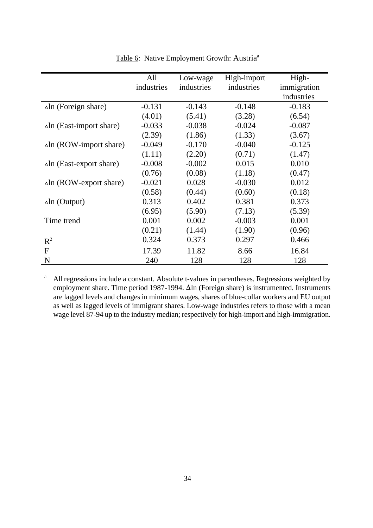|                                 | All        | Low-wage   | High-import | High-       |
|---------------------------------|------------|------------|-------------|-------------|
|                                 | industries | industries | industries  | immigration |
|                                 |            |            |             | industries  |
| $\Delta$ ln (Foreign share)     | $-0.131$   | $-0.143$   | $-0.148$    | $-0.183$    |
|                                 | (4.01)     | (5.41)     | (3.28)      | (6.54)      |
| $\Delta$ ln (East-import share) | $-0.033$   | $-0.038$   | $-0.024$    | $-0.087$    |
|                                 | (2.39)     | (1.86)     | (1.33)      | (3.67)      |
| $\Delta$ ln (ROW-import share)  | $-0.049$   | $-0.170$   | $-0.040$    | $-0.125$    |
|                                 | (1.11)     | (2.20)     | (0.71)      | (1.47)      |
| $\Delta$ ln (East-export share) | $-0.008$   | $-0.002$   | 0.015       | 0.010       |
|                                 | (0.76)     | (0.08)     | (1.18)      | (0.47)      |
| $\Delta$ ln (ROW-export share)  | $-0.021$   | 0.028      | $-0.030$    | 0.012       |
|                                 | (0.58)     | (0.44)     | (0.60)      | (0.18)      |
| $\Delta$ ln (Output)            | 0.313      | 0.402      | 0.381       | 0.373       |
|                                 | (6.95)     | (5.90)     | (7.13)      | (5.39)      |
| Time trend                      | 0.001      | 0.002      | $-0.003$    | 0.001       |
|                                 | (0.21)     | (1.44)     | (1.90)      | (0.96)      |
| $R^2$                           | 0.324      | 0.373      | 0.297       | 0.466       |
| F                               | 17.39      | 11.82      | 8.66        | 16.84       |
| N                               | 240        | 128        | 128         | 128         |

Table 6: Native Employment Growth: Austria<sup>a</sup>

<sup>a</sup> All regressions include a constant. Absolute t-values in parentheses. Regressions weighted by employment share. Time period 1987-1994.  $\Delta$ ln (Foreign share) is instrumented. Instruments are lagged levels and changes in minimum wages, shares of blue-collar workers and EU output as well as lagged levels of immigrant shares. Low-wage industries refers to those with a mean wage level 87-94 up to the industry median; respectively for high-import and high-immigration.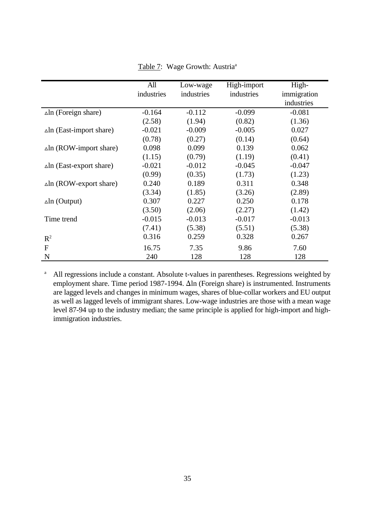|                                 | All        | Low-wage   | High-import | High-       |
|---------------------------------|------------|------------|-------------|-------------|
|                                 | industries | industries | industries  | immigration |
|                                 |            |            |             | industries  |
| $\Delta$ ln (Foreign share)     | $-0.164$   | $-0.112$   | $-0.099$    | $-0.081$    |
|                                 | (2.58)     | (1.94)     | (0.82)      | (1.36)      |
| $\Delta$ ln (East-import share) | $-0.021$   | $-0.009$   | $-0.005$    | 0.027       |
|                                 | (0.78)     | (0.27)     | (0.14)      | (0.64)      |
| $\Delta$ ln (ROW-import share)  | 0.098      | 0.099      | 0.139       | 0.062       |
|                                 | (1.15)     | (0.79)     | (1.19)      | (0.41)      |
| $\Delta$ ln (East-export share) | $-0.021$   | $-0.012$   | $-0.045$    | $-0.047$    |
|                                 | (0.99)     | (0.35)     | (1.73)      | (1.23)      |
| $\Delta$ ln (ROW-export share)  | 0.240      | 0.189      | 0.311       | 0.348       |
|                                 | (3.34)     | (1.85)     | (3.26)      | (2.89)      |
| $\Delta$ ln (Output)            | 0.307      | 0.227      | 0.250       | 0.178       |
|                                 | (3.50)     | (2.06)     | (2.27)      | (1.42)      |
| Time trend                      | $-0.015$   | $-0.013$   | $-0.017$    | $-0.013$    |
|                                 | (7.41)     | (5.38)     | (5.51)      | (5.38)      |
| $R^2$                           | 0.316      | 0.259      | 0.328       | 0.267       |
| $\mathbf{F}$                    | 16.75      | 7.35       | 9.86        | 7.60        |
| N                               | 240        | 128        | 128         | 128         |

Table 7: Wage Growth: Austria<sup>a</sup>

<sup>a</sup> All regressions include a constant. Absolute t-values in parentheses. Regressions weighted by employment share. Time period 1987-1994.  $\Delta$ ln (Foreign share) is instrumented. Instruments are lagged levels and changes in minimum wages, shares of blue-collar workers and EU output as well as lagged levels of immigrant shares. Low-wage industries are those with a mean wage level 87-94 up to the industry median; the same principle is applied for high-import and highimmigration industries.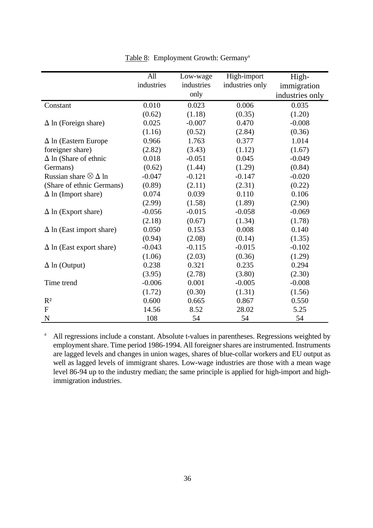|                                   | All        | Low-wage   | High-import     | High-           |
|-----------------------------------|------------|------------|-----------------|-----------------|
|                                   | industries | industries | industries only | immigration     |
|                                   |            | only       |                 | industries only |
| Constant                          | 0.010      | 0.023      | 0.006           | 0.035           |
|                                   | (0.62)     | (1.18)     | (0.35)          | (1.20)          |
| $\Delta$ ln (Foreign share)       | 0.025      | $-0.007$   | 0.470           | $-0.008$        |
|                                   | (1.16)     | (0.52)     | (2.84)          | (0.36)          |
| $\Delta$ ln (Eastern Europe       | 0.966      | 1.763      | 0.377           | 1.014           |
| foreigner share)                  | (2.82)     | (3.43)     | (1.12)          | (1.67)          |
| $\Delta$ ln (Share of ethnic      | 0.018      | $-0.051$   | 0.045           | $-0.049$        |
| Germans)                          | (0.62)     | (1.44)     | (1.29)          | (0.84)          |
| Russian share $\otimes \Delta$ ln | $-0.047$   | $-0.121$   | $-0.147$        | $-0.020$        |
| (Share of ethnic Germans)         | (0.89)     | (2.11)     | (2.31)          | (0.22)          |
| $\Delta$ ln (Import share)        | 0.074      | 0.039      | 0.110           | 0.106           |
|                                   | (2.99)     | (1.58)     | (1.89)          | (2.90)          |
| $\Delta$ ln (Export share)        | $-0.056$   | $-0.015$   | $-0.058$        | $-0.069$        |
|                                   | (2.18)     | (0.67)     | (1.34)          | (1.78)          |
| $\Delta$ ln (East import share)   | 0.050      | 0.153      | 0.008           | 0.140           |
|                                   | (0.94)     | (2.08)     | (0.14)          | (1.35)          |
| $\Delta$ ln (East export share)   | $-0.043$   | $-0.115$   | $-0.015$        | $-0.102$        |
|                                   | (1.06)     | (2.03)     | (0.36)          | (1.29)          |
| $\Delta$ ln (Output)              | 0.238      | 0.321      | 0.235           | 0.294           |
|                                   | (3.95)     | (2.78)     | (3.80)          | (2.30)          |
| Time trend                        | $-0.006$   | 0.001      | $-0.005$        | $-0.008$        |
|                                   | (1.72)     | (0.30)     | (1.31)          | (1.56)          |
| R <sup>2</sup>                    | 0.600      | 0.665      | 0.867           | 0.550           |
| $\mathbf F$                       | 14.56      | 8.52       | 28.02           | 5.25            |
| $\mathbf N$                       | 108        | 54         | 54              | 54              |

Table 8: Employment Growth: Germany<sup>a</sup>

<sup>a</sup> All regressions include a constant. Absolute t-values in parentheses. Regressions weighted by employment share. Time period 1986-1994. All foreigner shares are instrumented. Instruments are lagged levels and changes in union wages, shares of blue-collar workers and EU output as well as lagged levels of immigrant shares. Low-wage industries are those with a mean wage level 86-94 up to the industry median; the same principle is applied for high-import and highimmigration industries.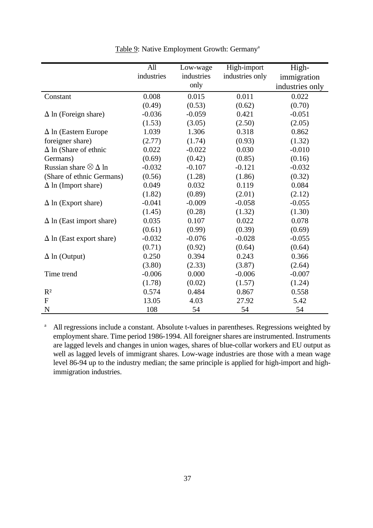|                                   | All        | Low-wage   | High-import     | High-           |
|-----------------------------------|------------|------------|-----------------|-----------------|
|                                   | industries | industries | industries only | immigration     |
|                                   |            | only       |                 | industries only |
| Constant                          | 0.008      | 0.015      | 0.011           | 0.022           |
|                                   | (0.49)     | (0.53)     | (0.62)          | (0.70)          |
| $\Delta$ ln (Foreign share)       | $-0.036$   | $-0.059$   | 0.421           | $-0.051$        |
|                                   | (1.53)     | (3.05)     | (2.50)          | (2.05)          |
| $\Delta$ ln (Eastern Europe       | 1.039      | 1.306      | 0.318           | 0.862           |
| foreigner share)                  | (2.77)     | (1.74)     | (0.93)          | (1.32)          |
| $\Delta$ ln (Share of ethnic      | 0.022      | $-0.022$   | 0.030           | $-0.010$        |
| Germans)                          | (0.69)     | (0.42)     | (0.85)          | (0.16)          |
| Russian share $\otimes \Delta$ ln | $-0.032$   | $-0.107$   | $-0.121$        | $-0.032$        |
| (Share of ethnic Germans)         | (0.56)     | (1.28)     | (1.86)          | (0.32)          |
| $\Delta$ ln (Import share)        | 0.049      | 0.032      | 0.119           | 0.084           |
|                                   | (1.82)     | (0.89)     | (2.01)          | (2.12)          |
| $\Delta$ ln (Export share)        | $-0.041$   | $-0.009$   | $-0.058$        | $-0.055$        |
|                                   | (1.45)     | (0.28)     | (1.32)          | (1.30)          |
| $\Delta$ ln (East import share)   | 0.035      | 0.107      | 0.022           | 0.078           |
|                                   | (0.61)     | (0.99)     | (0.39)          | (0.69)          |
| $\Delta$ ln (East export share)   | $-0.032$   | $-0.076$   | $-0.028$        | $-0.055$        |
|                                   | (0.71)     | (0.92)     | (0.64)          | (0.64)          |
| $\Delta$ ln (Output)              | 0.250      | 0.394      | 0.243           | 0.366           |
|                                   | (3.80)     | (2.33)     | (3.87)          | (2.64)          |
| Time trend                        | $-0.006$   | 0.000      | $-0.006$        | $-0.007$        |
|                                   | (1.78)     | (0.02)     | (1.57)          | (1.24)          |
| $R^2$                             | 0.574      | 0.484      | 0.867           | 0.558           |
| $\mathbf F$                       | 13.05      | 4.03       | 27.92           | 5.42            |
| $\mathbf N$                       | 108        | 54         | 54              | 54              |

Table 9: Native Employment Growth: Germany<sup>a</sup>

<sup>a</sup> All regressions include a constant. Absolute t-values in parentheses. Regressions weighted by employment share. Time period 1986-1994. All foreigner shares are instrumented. Instruments are lagged levels and changes in union wages, shares of blue-collar workers and EU output as well as lagged levels of immigrant shares. Low-wage industries are those with a mean wage level 86-94 up to the industry median; the same principle is applied for high-import and highimmigration industries.